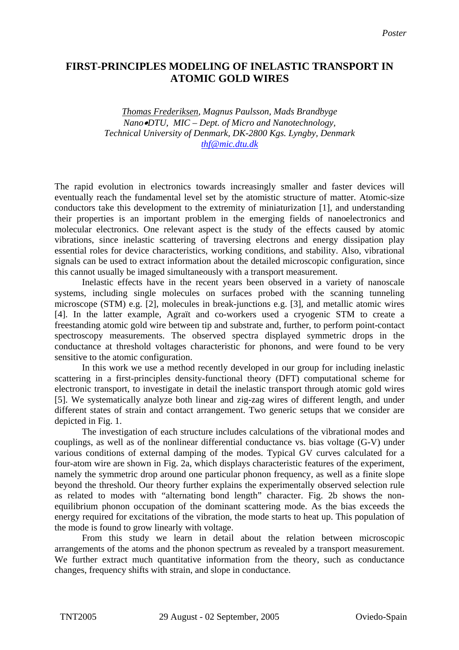## **FIRST-PRINCIPLES MODELING OF INELASTIC TRANSPORT IN ATOMIC GOLD WIRES**

*Thomas Frederiksen, Magnus Paulsson, Mads Brandbyge Nano*•*DTU, MIC – Dept. of Micro and Nanotechnology, Technical University of Denmark, DK-2800 Kgs. Lyngby, Denmark [thf@mic.dtu.dk](mailto:thf@mic.dtu.dk)*

The rapid evolution in electronics towards increasingly smaller and faster devices will eventually reach the fundamental level set by the atomistic structure of matter. Atomic-size conductors take this development to the extremity of miniaturization [1], and understanding their properties is an important problem in the emerging fields of nanoelectronics and molecular electronics. One relevant aspect is the study of the effects caused by atomic vibrations, since inelastic scattering of traversing electrons and energy dissipation play essential roles for device characteristics, working conditions, and stability. Also, vibrational signals can be used to extract information about the detailed microscopic configuration, since this cannot usually be imaged simultaneously with a transport measurement.

Inelastic effects have in the recent years been observed in a variety of nanoscale systems, including single molecules on surfaces probed with the scanning tunneling microscope (STM) e.g. [2], molecules in break-junctions e.g. [3], and metallic atomic wires [4]. In the latter example, Agraït and co-workers used a cryogenic STM to create a freestanding atomic gold wire between tip and substrate and, further, to perform point-contact spectroscopy measurements. The observed spectra displayed symmetric drops in the conductance at threshold voltages characteristic for phonons, and were found to be very sensitive to the atomic configuration.

 In this work we use a method recently developed in our group for including inelastic scattering in a first-principles density-functional theory (DFT) computational scheme for electronic transport, to investigate in detail the inelastic transport through atomic gold wires [5]. We systematically analyze both linear and zig-zag wires of different length, and under different states of strain and contact arrangement. Two generic setups that we consider are depicted in Fig. 1.

The investigation of each structure includes calculations of the vibrational modes and couplings, as well as of the nonlinear differential conductance vs. bias voltage (G-V) under various conditions of external damping of the modes. Typical GV curves calculated for a four-atom wire are shown in Fig. 2a, which displays characteristic features of the experiment, namely the symmetric drop around one particular phonon frequency, as well as a finite slope beyond the threshold. Our theory further explains the experimentally observed selection rule as related to modes with "alternating bond length" character. Fig. 2b shows the nonequilibrium phonon occupation of the dominant scattering mode. As the bias exceeds the energy required for excitations of the vibration, the mode starts to heat up. This population of the mode is found to grow linearly with voltage.

From this study we learn in detail about the relation between microscopic arrangements of the atoms and the phonon spectrum as revealed by a transport measurement. We further extract much quantitative information from the theory, such as conductance changes, frequency shifts with strain, and slope in conductance.